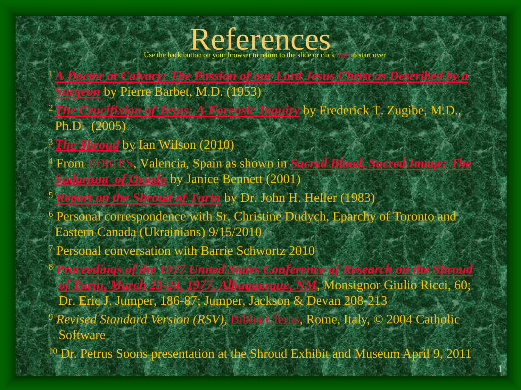### References

Use the back button on your browser to return to the slide or click [here](http://shroudnm.com/docs/SEAM-Shroud-of-Turin-Presentation.pdf) to start over

- <sup>1</sup>*[A Doctor at Calvary: The Passion of our Lord Jesus Christ as Described by a](http://www.amazon.com/Doctor-Calvary-Doubleday-Image-Book/dp/0385066872?SubscriptionId=0ACM1RC83GP83JK10M02&tag=speculativefic05&linkCode=xm2&camp=2025&creative=165953&creativeASIN=0385066872) Surgeon* by Pierre Barbet, M.D. (1953)
- <sup>2</sup>*[The Crucifixion of Jesus: A Forensic Inquiry](http://www.amazon.com/Crucifixion-Second-Completely-Revised-Expanded/dp/1590770706)* by Frederick T. Zugibe, M.D., Ph.D. (2005)
- <sup>3</sup>*[The Shroud](http://www.amazon.com/Shroud-Ian-Wilson/dp/0593063597)* by Ian Wilson (2010)
- <sup>4</sup> From [EDICES](http://translate.googleusercontent.com/translate_c?hl=en&sl=es&tl=en&u=http://www.linteum.com/el-santo-sudario-de-oviedo.php&rurl=translate.google.com&usg=ALkJrhhalbBrBCCNpQxuvty1MdGhKCfKKw), Valencia, Spain as shown in *[Sacred Blood, Sacred Image: The](http://www.amazon.com/Sacred-Blood-Image-Sudarium-Authenticity/dp/1586171119/ref=sr_1_1?ie=UTF8&s=books&qid=1294493486&sr=1-1)  Sudarium of Oviedo* by Janice Bennett (2001)
- <sup>5</sup> *[Report on the Shroud of Turin](http://www.amazon.com/Report-Shroud-Turin-John-Heller/dp/0395339677)* by Dr. John H. Heller (1983)
- <sup>6</sup> Personal correspondence with Sr. Christine Dudych, Eparchy of Toronto and Eastern Canada (Ukrainians) 9/15/2010
	- Personal conversation with Barrie Schwortz 2010
- <sup>8</sup> *[Proceedings of the 1977 United States Conference of Research on the Shroud](http://www.alibris.com/search/books/qwork/5373146/used/Proceedings%20of%20the%201977%20United%20States%20Conference%20of%20Research%20on%20the%20Shroud%20of%20Turin,%20%5bMarch%2023-24,%201977,%20Albuquerque,%20New%20Mexico%5d.)  of Turin, March 23-24, 1977, Albuquerque, NM*, Monsignor Giulio Ricci, 60; Dr. Eric J. Jumper, 186-87; Jumper, Jackson & Devan 208-213 <sup>9</sup> *Revised Standard Version (RSV)*, [Biblia Clerus](http://www.clerus.org/english/00000041_Home_English.html), Rome, Italy, © 2004 Catholic **Software**
- <sup>10</sup> Dr. Petrus Soons presentation at the Shroud Exhibit and Museum April 9, 2011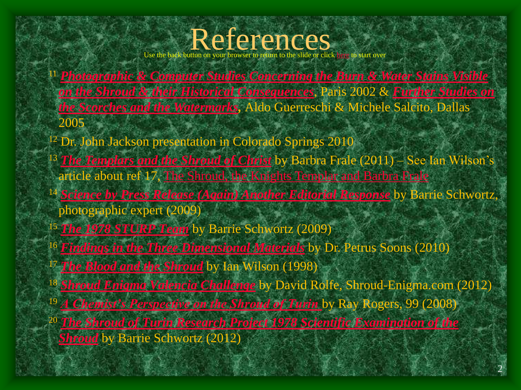# Use the back button on your browser to return to the slide or click [here](http://shroudnm.com/docs/SEAM-Shroud-of-Turin-Presentation.pdf) to start over

- *[Photographic & Computer Studies Concerning the Burn & Water Stains Visible](http://www.shroud.com/pdfs/aldo3.pdf)  [on the Shroud & their Historical Consequences](http://www.shroud.com/pdfs/aldo4.pdf)*, Paris 2002 & *Further Studies on the Scorches and the Watermarks,* Aldo Guerreschi & Michele Salcito, Dallas
- <sup>12</sup> Dr. John Jackson presentation in Colorado Springs 2010
- *[The Templars and the Shroud of Christ](http://www.amazon.com/Templars-Shroud-Christ-ebook/dp/B004W3UJUC/ref=sr_1_1?ie=UTF8&m=AG56TWVU5XWC2&s=books&qid=1307115301&sr=1-1)* by Barbra Frale (2011) See Ian Wilson's article about ref 17, [The Shroud, the Knights Templar and Barbra Frale](http://www.shroud.com/pdfs/n73part5.pdf)
- *[Science by Press Release \(Again\) Another Editorial Response](http://www.shroud.com/pdfs/schwortzedit02.pdf)* by Barrie Schwortz, photographic expert (2009)
- *[The 1978 STURP Team](http://www.shroud.com/78team.htm)* by Barrie Schwortz (2009)
- *[Findings in the Three Dimensional Materials](http://shroud3d.com/findings/findings-in-the-three-dimensional-materials)* by Dr. Petrus Soons (2010)
- *[The Blood and the Shroud](http://www.amazon.com/Blood-Shroud-Evidence-Worlds-Sacred/dp/0684855291/ref=sr_1_1?s=books&ie=UTF8&qid=1314590491&sr=1-1)* by Ian Wilson (1998)
- *[Shroud Enigma Valencia Challenge](http://www.shroud-enigma.com/Valencia/image-characteristics-%20consensus-shroud-of-turin.html)* by David Rolfe, Shroud-Enigma.com (2012)

- *[A Chemist's Perspective on the Shroud of Turin](http://www.lulu.com/shop/raymond-n-rogers/a-chemists-perspective-on-the-shroud-of-turin/paperback/product-3278016.html)* by Ray Rogers, 99 (2008)
- *[The Shroud of Turin Research Project 1978 Scientific Examination of the](http://www.lulu.com/shop/raymond-n-rogers/a-chemists-perspective-on-the-shroud-of-turin/paperback/product-3278016.html)  Shroud* by Barrie Schwortz (2012)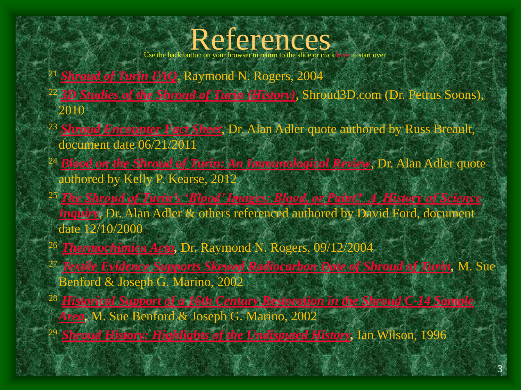### References

Use the back button on your browser to return to the slide or click [here](http://shroudnm.com/docs/SEAM-Shroud-of-Turin-Presentation.pdf) to start over

- <sup>21</sup> *[Shroud of Turin FAQ](http://shroud.com/pdfs/rogers5faqs.pdf)*, Raymond N. Rogers, 2004
- <sup>22</sup> *[3D Studies of the Shroud of Turin \(History\)](http://shroud3d.com/home-page/introduction-3d-studies-of-the-shroud-of-turin-history)*, Shroud3D.com (Dr. Petrus Soons), 2010
- <sup>23</sup> *[Shroud Encounter Fact Sheet](http://shroudencounter.com/worddocuments/Fact_Sheet.pdf)*, Dr. Alan Adler quote authored by Russ Breault, document date 06/21/2011
- <sup>24</sup> *[Blood on the Shroud of Turin: An Immunological Review](https://www.shroud.com/pdfs/kearse.pdf)*, Dr. Alan Adler quote authored by Kelly P. Kearse, 2012
- <sup>25</sup> *The Shroud of Turin's 'Blood' Images: Blood, or Paint? A History of Science Inquiry*, Dr. Alan Adler & others referenced authored by David Ford, document date 12/10/2000
- <sup>26</sup>*[Thermochimica Acta](http://shroudnm.com/docs/2004-09-12-Rogers.pdf),* Dr. Raymond N. Rogers, 09/12/2004
- <sup>27</sup>*[Textile Evidence Supports Skewed Radiocarbon Date of Shroud of Turin](http://www.shroud.com/pdfs/textevid.pdf),* M. Sue Benford & Joseph G. Marino, 2002

- <sup>28</sup>*[Historical Support of a 16th Century Restoration in the Shroud C-14 Sample](http://www.shroud.com/pdfs/histsupt.pdf)  Area,* M. Sue Benford & Joseph G. Marino, 2002
- <sup>29</sup>*[Shroud History: Highlights of the Undisputed History,](http://www.shroud.com/history.htm)* Ian Wilson, 1996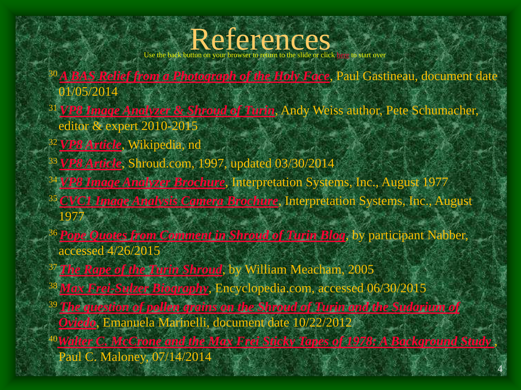# Use the back button on your browser to return to the slide or click [here](http://shroudnm.com/docs/SEAM-Shroud-of-Turin-Presentation.pdf) to start over

- 
- *[A BAS Relief from a Photograph of the Holy Face](http://shroud.com/pdfs/ssi18part3.pdf)*, Paul Gastineau, document date 01/05/2014
- *[VP8 Image Analyzer & Shroud of Turin](http://shroudnm.com/docs/SEAM-VP8-Presentation.pdf)*, Andy Weiss author, Pete Schumacher, editor & expert 2010-2015
- *[VP8 Article](http://en.wikipedia.org/wiki/VP8_Image_Analyzer)*, Wikipedia, nd
- *[VP8 Article](http://www.shroud.com/78strp10.htm)*, Shroud.com, 1997, updated 03/30/2014
- *[VP8 Image Analyzer Brochure](http://shroudnm.com/docs/1974-VP8ImageAnalyzerBrochure.pdf)*, Interpretation Systems, Inc., August 1977
- *[CVC1 Image Analysis Camera Brochure](http://shroudnm.com/docs/1974-CVC1-ImageAnalysisCamera.pdf)*, Interpretation Systems, Inc., August
- *[Pope Quotes from Comment in Shroud of Turin Blog](http://shroudstory.com/2015/04/22/short-shrift-article-at-huffpo-uk/)*, by participant Nabber, accessed 4/26/2015
- *[The Rape of the Turin Shroud](http://www.amazon.com/Rape-Turin-Shroud-William-Meacham/dp/1411657691)*, by William Meacham, 2005
- *[Max Frei-Sulzer](http://www.encyclopedia.com/doc/1G2-3448300258.html) Biography*, Encyclopedia.com, accessed 06/30/2015
- *[The question of pollen grains on the Shroud of Turin and the Sudarium of](https://www.shroud.com/pdfs/marinelli2veng.pdf)* 
	- *Oviedo*, Emanuela Marinelli, document date 10/22/2012
- *[Walter C. McCrone and the Max Frei Sticky Tapes of 1978: A Background Study](http://www.shroud.com/pdfs/maloneypollen2014.pdf)* , Paul C. Maloney, 07/14/2014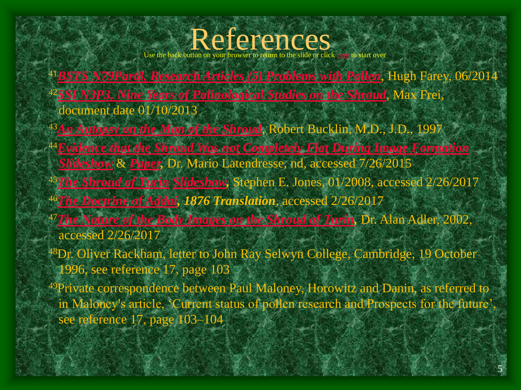#### References

Use the back button on your browser to return to the slide or click [here](http://shroudnm.com/docs/SEAM-Shroud-of-Turin-Presentation.pdf) to start over

- <sup>41</sup>*[BSTS N79Part8, Research Articles \(5\) Problems with Pollen](https://www.shroud.com/pdfs/n79part8.pdf)*, Hugh Farey, 06/2014 <sup>42</sup>*[SSI N3P3, Nine Years of Palinological Studies on the Shroud](http://www.shroud.com/pdfs/ssi03part3.pdf)*, Max Frei, document date 01/10/2013
- <sup>43</sup>*[An Autopsy on the Man of the Shroud](https://www.shroud.com/bucklin.htm)*, Robert Bucklin, M.D., J.D., 1997
- <sup>44</sup>*[Evidence that the Shroud Was not Completely Flat During Image Formation](http://www.sindonology.org/papers/latendresse2005aSlides.pdf) [Slideshow](http://www.sindonology.org/papers/latendresse2005aSlides.pdf)* & *[Paper,](https://www.academia.edu/9063899/The_Turin_Shroud_Was_Not_Flattened_Before_the_Images_Formed_and_no_Major_Image_Distortions_Necessarily_Occur_from_a_Real_Body)* Dr. Mario Latendresse, nd, accessed 7/26/2015
- <sup>45</sup>*[The Shroud of Turin](http://theshroudofturin.blogspot.in/2008/06/re-in-my-humble-opinion-shroud-of-turin_25.html) [Slideshow,](http://www.sindonology.org/papers/latendresse2005aSlides.pdf)* Stephen E. Jones, 01/2008, accessed 2/26/2017
- <sup>46</sup>*[The Doctrine of Addai](http://www.tertullian.org/fathers/addai_2_text.htm), 1876 Translation*, accessed 2/26/2017
- <sup>47</sup>*[The Nature of the Body Images on the Shroud of Turin,](https://www.shroud.com/pdfs/adler.pdf)* Dr. Alan Adler, 2002, accessed 2/26/2017
- <sup>48</sup>Dr. Oliver Rackham, letter to John Ray Selwyn College, Cambridge, 19 October 1996, see reference 17, page 103
- <sup>49</sup>Private correspondence between Paul Maloney, Horowitz and Danin, as referred to in Maloney's article, 'Current status of pollen research and Prospects for the future', see reference 17, page 103–104